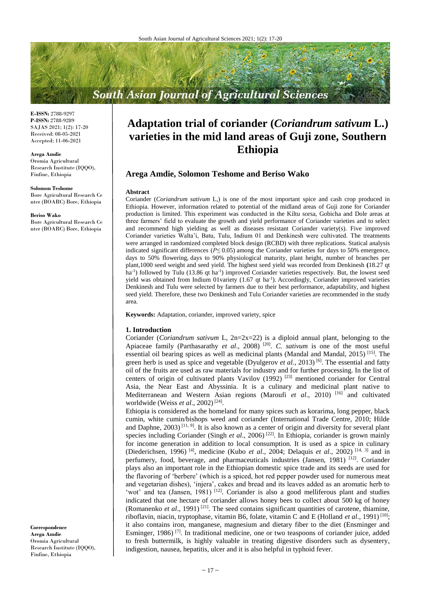# **South Asian Journal of Agricultural Sciences**

**E-ISSN:** 2788-9297 **P-ISSN:** 2788-9289 SAJAS 2021; 1(2): 17-20 Received: 08-05-2021 Accepted: 11-06-2021

**Arega Amdie**

Oromia Agricultural Research Institute (IQQO), Finfine, Ethiopia

#### **Solomon Teshome**

Bore Agricultural Research Ce nter (BOARC) Bore, Ethiopia

#### **Beriso Wako**

Bore Agricultural Research Ce nter (BOARC) Bore, Ethiopia

**Correspondence Arega Amdie** Oromia Agricultural Research Institute (IQQO), Finfine, Ethiopia

# **Adaptation trial of coriander (***Coriandrum sativum* **L.) varieties in the mid land areas of Guji zone, Southern Ethiopia**

# **Arega Amdie, Solomon Teshome and Beriso Wako**

#### **Abstract**

Coriander (*Coriandrum sativum* L,) is one of the most important spice and cash crop produced in Ethiopia. However, information related to potential of the midland areas of Guji zone for Coriander production is limited. This experiment was conducted in the Kiltu sorsa, Gobicha and Dole areas at three farmers' field to evaluate the growth and yield performance of Coriander varieties and to select and recommend high yielding as well as diseases resistant Coriander variety(s). Five improved Coriander varieties Walta'i, Batu, Tulu, Indium 01 and Denkinesh were cultivated. The treatments were arranged in randomized completed block design (RCBD) with three replications. Statical analysis indicated significant differences (*P≤* 0.05) among the Coriander varieties for days to 50% emergence, days to 50% flowering, days to 90% physiological maturity, plant height, number of branches per plant,1000 seed weight and seed yield. The highest seed yield was recorded from Denkinesh **(**18.27 qt ha<sup>-1</sup>) followed by Tulu (13.86 qt ha<sup>-1</sup>) improved Coriander varieties respectively. But, the lowest seed yield was obtained from Indium 01variety (1.67 qt ha<sup>-1</sup>). Accordingly, Coriander improved varieties Denkinesh and Tulu were selected by farmers due to their best performance, adaptability, and highest seed yield. Therefore, these two Denkinesh and Tulu Coriander varieties are recommended in the study area.

**Keywords:** Adaptation, coriander, improved variety, spice

#### **1. Introduction**

Coriander (*Coriandrum sativum* L, 2n=2x=22) is a diploid annual plant, belonging to the Apiaceae family (Parthasarathy *et al.*, 2008)<sup>[20]</sup>. *C. sativum* is one of the most useful essential oil bearing spices as well as medicinal plants (Mandal and Mandal, 2015)<sup>[15]</sup>. The green herb is used as spice and vegetable (Dyulgerov *et al.*, 2013)<sup>[6]</sup>. The essential and fatty oil of the fruits are used as raw materials for industry and for further processing. In the list of centers of origin of cultivated plants Vavilov (1992) [23] mentioned coriander for Central Asia, the Near East and Abyssinia. It is a culinary and medicinal plant native to Mediterranean and Western Asian regions (Maroufi et al., 2010)<sup>[16]</sup> and cultivated worldwide (Weiss *et al*., 2002) [24] .

Ethiopia is considered as the homeland for many spices such as korarima, long pepper, black cumin, white cumin/bishops weed and coriander (International Trade Centre, 2010; Hilde and Daphne,  $2003$ )<sup>[11, 9]</sup>. It is also known as a center of origin and diversity for several plant species including Coriander (Singh *et al.*, 2006)<sup>[22]</sup>. In Ethiopia, coriander is grown mainly for income generation in addition to local consumption. It is used as a spice in culinary (Diederichsen, 1996) [4] , medicine (Kubo *et al*., 2004; Delaquis *et al*., 2002) [14, 3] and in perfumery, food, beverage, and pharmaceuticals industries (Jansen, 1981)<sup>[12]</sup>. Coriander plays also an important role in the Ethiopian domestic spice trade and its seeds are used for the flavoring of 'berbere' (which is a spiced, hot red pepper powder used for numerous meat and vegetarian dishes), 'injera', cakes and bread and its leaves added as an aromatic herb to 'wot' and tea (Jansen, 1981)<sup>[12]</sup>. Coriander is also a good melliferous plant and studies indicated that one hectare of coriander allows honey bees to collect about 500 kg of honey (Romanenko *et al*., 1991) [21] . The seed contains significant quantities of carotene, thiamine, riboflavin, niacin, tryptophase, vitamin B6, folate, vitamin C and E (Holland *et al.*, 1991)<sup>[10]</sup>; it also contains iron, manganese, magnesium and dietary fiber to the diet (Ensminger and Esminger, 1986)<sup>[7]</sup>. In traditional medicine, one or two teaspoons of coriander juice, added to fresh buttermilk, is highly valuable in treating digestive disorders such as dysentery, indigestion, nausea, hepatitis, ulcer and it is also helpful in typhoid fever.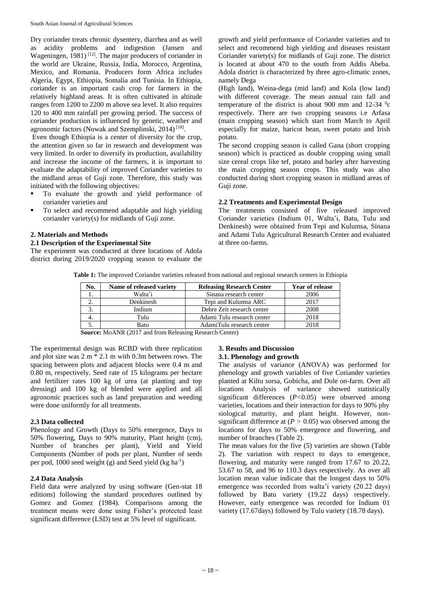Dry coriander treats chronic dysentery, diarrhea and as well as acidity problems and indigestion (Jansen and Wageningen,  $1981$ )<sup>[12]</sup>. The major producers of coriander in the world are Ukraine, Russia, India, Morocco, Argentina, Mexico, and Romania. Producers form Africa includes Algeria, Egypt, Ethiopia, Somalia and Tunisia. In Ethiopia, coriander is an important cash crop for farmers in the relatively highland areas. It is often cultivated in altitude ranges from 1200 to 2200 m above sea level. It also requires 120 to 400 mm rainfall per growing period. The success of coriander production is influenced by genetic, weather and agronomic factors (Nowak and Szemplinski, 2014)<sup>[18]</sup>.

Even though Ethiopia is a center of diversity for the crop, the attention given so far in research and development was very limited. In order to diversify its production, availability and increase the income of the farmers, it is important to evaluate the adaptability of improved Coriander varieties to the midland areas of Guji zone. Therefore, this study was initiated with the following objectives:

- To evaluate the growth and yield performance of coriander varieties and
- To select and recommend adaptable and high yielding coriander variety(s) for midlands of Guji zone.

## **2. Materials and Methods**

### **2.1 Description of the Experimental Site**

The experiment was conducted at three locations of Adola district during 2019/2020 cropping season to evaluate the growth and yield performance of Coriander varieties and to select and recommend high yielding and diseases resistant Coriander variety(s) for midlands of Guji zone. The district is located at about 470 to the south from Addis Abeba. Adola district is characterized by three agro-climatic zones, namely Dega

(High land), Weina-dega (mid land) and Kola (low land) with different coverage. The mean annual rain fall and temperature of the district is about 900 mm and  $12-34$  <sup>o</sup>c respectively. There are two cropping seasons i.e Arfasa (main cropping season) which start from March to April especially for maize, haricot bean, sweet potato and Irish potato.

The second cropping season is called Gana (short cropping season) which is practiced as double cropping using small size cereal crops like tef, potato and barley after harvesting the main cropping season crops. This study was also conducted during short cropping season in midland areas of Guji zone.

### **2.2 Treatments and Experimental Design**

The treatments consisted of five released improved Coriander varieties (Indium 01, Walta'i, Batu, Tulu and Denkinesh) were obtained from Tepi and Kulumsa, Sinana and Adami Tulu Agricultural Research Center and evaluated at three on-farms.

|  |  |  |  |  | Table 1: The improved Coriander varieties released from national and regional research centers in Ethiopia |  |
|--|--|--|--|--|------------------------------------------------------------------------------------------------------------|--|
|--|--|--|--|--|------------------------------------------------------------------------------------------------------------|--|

| No. | Name of released variety | <b>Releasing Research Center</b> | <b>Year of release</b> |
|-----|--------------------------|----------------------------------|------------------------|
|     | Walta'i                  | Sinana research center           | 2006                   |
|     | Denkinesh                | Tepi and Kulumsa ARC             | 2017                   |
|     | Indium                   | Debre Zeit research center       | 2008                   |
|     | Tulu                     | Adami Tulu research center       | 2018                   |
|     | Batu                     | AdamiTulu research center        | 2018                   |

**Source:** MoANR (2017 and from Releasing Research Center)

The experimental design was RCBD with three replication and plot size was 2 m \* 2.1 m with 0.3m between rows. The spacing between plots and adjacent blocks were 0.4 m and 0.80 m, respectively. Seed rate of 15 kilograms per hectare and fertilizer rates 100 kg of urea (at planting and top dressing) and 100 kg of blended were applied and all agronomic practices such as land preparation and weeding were done uniformly for all treatments.

## **2.3 Data collected**

Phenology and Growth (Days to 50% emergence, Days to 50% flowering, Days to 90% maturity, Plant height (cm), Number of branches per plant), Yield and Yield Components (Number of pods per plant, Number of seeds per pod, 1000 seed weight (g) and Seed yield (kg ha<sup>-1</sup>)

# **2.4 Data Analysis**

Field data were analyzed by using software (Gen-stat 18 editions) following the standard procedures outlined by Gomez and Gomez (1984). Comparisons among the treatment means were done using Fisher's protected least significant difference (LSD) test at 5% level of significant.

## **3. Results and Discussion 3.1. Phenology and growth**

The analysis of variance (ANOVA) was performed for phenology and growth variables of five Coriander varieties planted at Kiltu sorsa, Gobicha, and Dole on-farm. Over all locations Analysis of variance showed statistically significant differences (*P<*0.05) were observed among varieties, locations and their interaction for days to 90% phy siological maturity, and plant height. However, nonsignificant difference at  $(P > 0.05)$  was observed among the locations for days to 50% emergence and flowering, and number of branches (Table 2).

The mean values for the five (5) varieties are shown (Table 2). The variation with respect to days to emergence, flowering, and maturity were ranged from 17.67 to 20.22, 53.67 to 58, and 96 to 110.3 days respectively. As over all location mean value indicate that the longest days to 50% emergence was recorded from walta'i variety (20.22 days) followed by Batu variety (19.22 days) respectively. However, early emergence was recorded for Indium 01 variety (17.67days) followed by Tulu variety (18.78 days).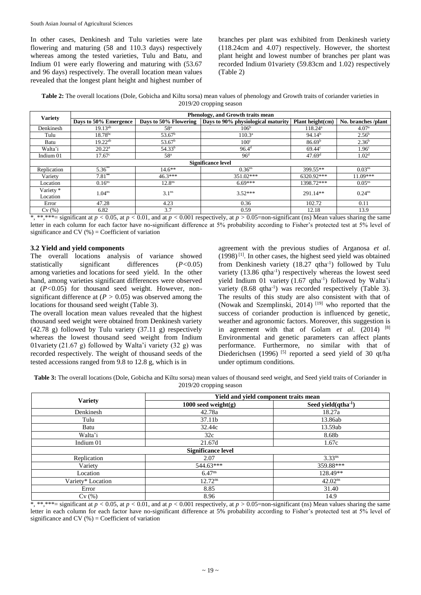In other cases, Denkinesh and Tulu varieties were late flowering and maturing (58 and 110.3 days) respectively whereas among the tested varieties, Tulu and Batu, and Indium 01 were early flowering and maturing with (53.67 and 96 days) respectively. The overall location mean values revealed that the longest plant height and highest number of

branches per plant was exhibited from Denkinesh variety (118.24cm and 4.07) respectively. However, the shortest plant height and lowest number of branches per plant was recorded Indium 01variety (59.83cm and 1.02) respectively (Table 2)

**Table 2:** The overall locations (Dole, Gobicha and Kiltu sorsa) mean values of phenology and Growth traits of coriander varieties in 2019/20 cropping season

| <b>Variety</b>            | Phenology, and Growth traits mean |                       |                                    |                    |                    |  |
|---------------------------|-----------------------------------|-----------------------|------------------------------------|--------------------|--------------------|--|
|                           | Days to 50% Emergence             | Days to 50% Flowering | Days to 90% physiological maturity | Plant height(cm)   | No. branches/plant |  |
| Denkinesh                 | $19.13^{ab}$                      | 58 <sup>a</sup>       | 106 <sup>b</sup>                   | $118.24^{\rm a}$   | 4.07 <sup>a</sup>  |  |
| Tulu                      | $18.78^{bc}$                      | $53.67^{\rm b}$       | 110.3 <sup>a</sup>                 | 94.14 <sup>b</sup> | $2.56^{\rm b}$     |  |
| Batu                      | $19.22^{ab}$                      | $53.67^b$             | 100 <sup>c</sup>                   | 86.69 <sup>b</sup> | 2.36 <sup>b</sup>  |  |
| Walta'i                   | $20.22^a$                         | 54.33 <sup>b</sup>    | $96.4^{\rm d}$                     | 69.44 <sup>c</sup> | 1.96 <sup>c</sup>  |  |
| Indium 01                 | 17.67 <sup>c</sup>                | 58 <sup>a</sup>       | 96 <sup>d</sup>                    | 47.69 <sup>d</sup> | 1.02 <sup>d</sup>  |  |
| <b>Significance level</b> |                                   |                       |                                    |                    |                    |  |
| Replication               | $5.36**$                          | $14.6***$             | 0.36 <sup>ns</sup>                 | 399.55**           | 0.03 <sup>ns</sup> |  |
| Variety                   | $7.81**$                          | $46.3***$             | $351.02***$                        | 6320.92***         | $11.09***$         |  |
| Location                  | $0.16^{ns}$                       | 12.8 <sup>ns</sup>    | $6.69***$                          | 1398.72***         | $0.05^{ns}$        |  |
| Variety *                 | 1.04 <sup>ns</sup>                | 3.1 <sup>ns</sup>     | $3.52***$                          | 291.14**           | $0.24^{ns}$        |  |
| Location                  |                                   |                       |                                    |                    |                    |  |
| Error                     | 47.28                             | 4.23                  | 0.36                               | 102.72             | 0.11               |  |
| Cv(%)                     | 6.82                              | 3.7                   | 0.59                               | 12.18              | 13.9               |  |

\*, \*\*,\*\*\*= significant at  $p < 0.05$ , at  $p < 0.01$ , and at  $p < 0.001$  respectively, at  $p > 0.05$ =non-significant (ns) Mean values sharing the same letter in each column for each factor have no-significant difference at 5% probability according to Fisher's protected test at 5% level of significance and CV  $(\% )$  = Coefficient of variation

# **3.2 Yield and yield components**

The overall locations analysis of variance showed statistically significant differences (*P<*0.05) among varieties and locations for seed yield. In the other hand, among varieties significant differences were observed at (*P<*0.05) for thousand seed weight. However, nonsignificant difference at (*P >* 0.05) was observed among the locations for thousand seed weight (Table 3).

The overall location mean values revealed that the highest thousand seed weight were obtained from Denkinesh variety (42.78 g) followed by Tulu variety (37.11 g) respectively whereas the lowest thousand seed weight from Indium 01variety (21.67 g) followed by Walta'i variety (32 g) was recorded respectively. The weight of thousand seeds of the tested accessions ranged from 9.8 to 12.8 g, which is in

agreement with the previous studies of Arganosa *et al*. (1998) [1] . In other cases, the highest seed yield was obtained from Denkinesh variety (18.27 qtha<sup>-1</sup>) followed by Tulu variety (13.86 qtha<sup>-1</sup>) respectively whereas the lowest seed yield Indium 01 variety (1.67 qtha<sup>-1</sup>) followed by Walta'i variety (8.68 qtha<sup>-1</sup>) was recorded respectively (Table 3). The results of this study are also consistent with that of (Nowak and Szemplinski, 2014)<sup>[19]</sup> who reported that the success of coriander production is influenced by genetic, weather and agronomic factors. Moreover, this suggestion is in agreement with that of Golam *et al*. (2014) [8] Environmental and genetic parameters can affect plants performance. Furthermore, no similar with that of Diederichsen (1996)<sup>[5]</sup> reported a seed yield of 30 qt/ha under optimum conditions.

**Table 3:** The overall locations (Dole, Gobicha and Kiltu sorsa) mean values of thousand seed weight, and Seed yield traits of Coriander in 2019/20 cropping season

|                   | Yield and yield component traits mean |                          |  |  |
|-------------------|---------------------------------------|--------------------------|--|--|
| <b>Variety</b>    | $1000$ seed weight(g)                 | Seed yield $(qtha^{-1})$ |  |  |
| Denkinesh         | 42.78a                                | 18.27a                   |  |  |
| Tulu              | 37.11b                                | 13.86ab                  |  |  |
| Batu              | 32.44c                                | 13.59ab                  |  |  |
| Walta'i           | 32c                                   | 8.68b                    |  |  |
| Indium 01         | 21.67d                                | 1.67c                    |  |  |
|                   | <b>Significance level</b>             |                          |  |  |
| Replication       | 2.07                                  | 3.33 <sup>ns</sup>       |  |  |
| Variety           | $544.63***$                           | 359.88***                |  |  |
| Location          | 6.47 <sup>ns</sup>                    | 128.49**                 |  |  |
| Variety* Location | $12.72^{ns}$                          | 42.02 <sup>ns</sup>      |  |  |
| Error             | 8.85                                  | 31.40                    |  |  |
| Cv(%)             | 8.96                                  | 14.9                     |  |  |

\*, \*\*,\*\*\*= significant at  $p < 0.05$ , at  $p < 0.01$ , and at  $p < 0.001$  respectively, at  $p > 0.05$ =non-significant (ns) Mean values sharing the same letter in each column for each factor have no-significant difference at 5% probability according to Fisher's protected test at 5% level of significance and CV  $(\%)$  = Coefficient of variation